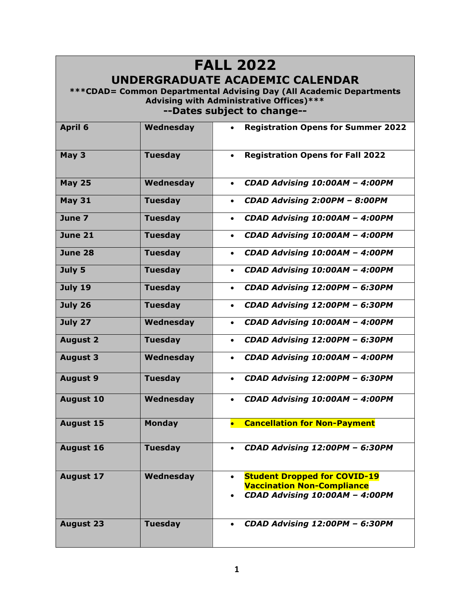## **FALL 2022**

**UNDERGRADUATE ACADEMIC CALENDAR**

**\*\*\*CDAD= Common Departmental Advising Day (All Academic Departments Advising with Administrative Offices)\*\*\* --Dates subject to change--**

**April 6 Wednesday** • **Registration Opens for Summer 2022 May 3 Tuesday** • **Registration Opens for Fall 2022 May 25 Wednesday** • *CDAD Advising 10:00AM – 4:00PM* **May 31 Tuesday** • *CDAD Advising 2:00PM – 8:00PM* **June 7 Tuesday** • *CDAD Advising 10:00AM – 4:00PM* **June 21 Tuesday** • *CDAD Advising 10:00AM – 4:00PM* **June 28 Tuesday** • *CDAD Advising 10:00AM – 4:00PM* **July 5 Tuesday** • *CDAD Advising 10:00AM – 4:00PM* **July 19 Tuesday** • *CDAD Advising 12:00PM – 6:30PM* **July 26 Tuesday** • *CDAD Advising 12:00PM – 6:30PM* **July 27 Wednesday** • *CDAD Advising 10:00AM – 4:00PM* **August 2 Tuesday** • *CDAD Advising 12:00PM – 6:30PM* **August 3 Wednesday** • *CDAD Advising 10:00AM – 4:00PM* **August 9 Tuesday** • *CDAD Advising 12:00PM – 6:30PM* **August 10 Wednesday** • *CDAD Advising 10:00AM – 4:00PM* **August 15 Monday** • **Cancellation for Non-Payment August 16 Tuesday** • *CDAD Advising 12:00PM – 6:30PM* **August 17 Wednesday** • **Student Dropped for COVID-19 Vaccination Non-Compliance** • *CDAD Advising 10:00AM – 4:00PM* **August 23 Tuesday** • *CDAD Advising 12:00PM – 6:30PM*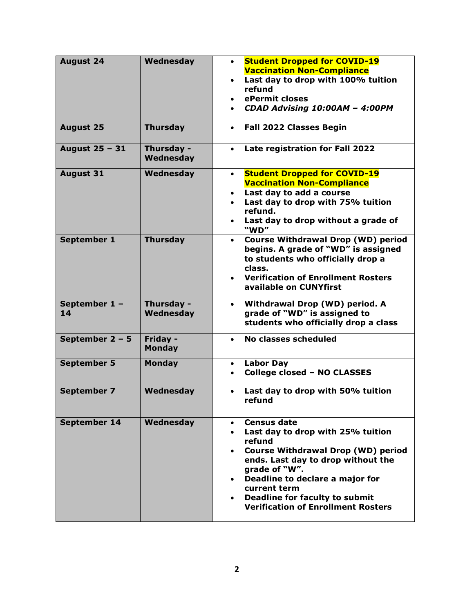| <b>August 24</b>    | Wednesday                 | <b>Student Dropped for COVID-19</b><br>$\bullet$<br><b>Vaccination Non-Compliance</b><br>Last day to drop with 100% tuition<br>$\bullet$<br>refund<br>ePermit closes<br>CDAD Advising 10:00AM - 4:00PM<br>$\bullet$                                                                                                                                                             |
|---------------------|---------------------------|---------------------------------------------------------------------------------------------------------------------------------------------------------------------------------------------------------------------------------------------------------------------------------------------------------------------------------------------------------------------------------|
| <b>August 25</b>    | <b>Thursday</b>           | <b>Fall 2022 Classes Begin</b><br>$\bullet$                                                                                                                                                                                                                                                                                                                                     |
| August 25 - 31      | Thursday -<br>Wednesday   | Late registration for Fall 2022<br>$\bullet$                                                                                                                                                                                                                                                                                                                                    |
| <b>August 31</b>    | Wednesday                 | <b>Student Dropped for COVID-19</b><br>$\bullet$<br><b>Vaccination Non-Compliance</b><br>Last day to add a course<br>Last day to drop with 75% tuition<br>refund.<br>Last day to drop without a grade of<br>"WD"                                                                                                                                                                |
| September 1         | <b>Thursday</b>           | <b>Course Withdrawal Drop (WD) period</b><br>$\bullet$<br>begins. A grade of "WD" is assigned<br>to students who officially drop a<br>class.<br><b>Verification of Enrollment Rosters</b><br>available on CUNYfirst                                                                                                                                                             |
| September 1 -<br>14 | Thursday -<br>Wednesday   | Withdrawal Drop (WD) period. A<br>$\bullet$<br>grade of "WD" is assigned to<br>students who officially drop a class                                                                                                                                                                                                                                                             |
| September $2 - 5$   | Friday -<br><b>Monday</b> | No classes scheduled<br>$\bullet$                                                                                                                                                                                                                                                                                                                                               |
| <b>September 5</b>  | <b>Monday</b>             | <b>Labor Day</b><br>$\bullet$<br><b>College closed - NO CLASSES</b><br>$\bullet$                                                                                                                                                                                                                                                                                                |
| <b>September 7</b>  | Wednesday                 | Last day to drop with 50% tuition<br>$\bullet$<br>refund                                                                                                                                                                                                                                                                                                                        |
| September 14        | Wednesday                 | <b>Census date</b><br>$\bullet$<br>Last day to drop with 25% tuition<br>$\bullet$<br>refund<br><b>Course Withdrawal Drop (WD) period</b><br>$\bullet$<br>ends. Last day to drop without the<br>grade of "W".<br>Deadline to declare a major for<br>$\bullet$<br>current term<br><b>Deadline for faculty to submit</b><br>$\bullet$<br><b>Verification of Enrollment Rosters</b> |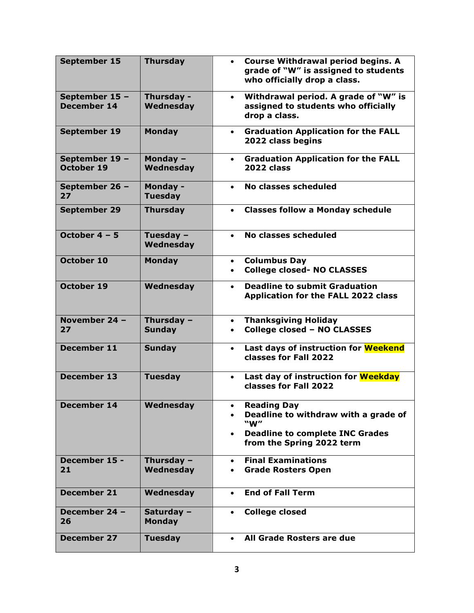| September 15                         | <b>Thursday</b>                   | <b>Course Withdrawal period begins. A</b><br>grade of "W" is assigned to students<br>who officially drop a class.                                                  |
|--------------------------------------|-----------------------------------|--------------------------------------------------------------------------------------------------------------------------------------------------------------------|
| September 15 -<br><b>December 14</b> | Thursday -<br>Wednesday           | Withdrawal period. A grade of "W" is<br>$\bullet$<br>assigned to students who officially<br>drop a class.                                                          |
| September 19                         | <b>Monday</b>                     | <b>Graduation Application for the FALL</b><br>$\bullet$<br>2022 class begins                                                                                       |
| September 19 -<br><b>October 19</b>  | Monday -<br>Wednesday             | <b>Graduation Application for the FALL</b><br>$\bullet$<br>2022 class                                                                                              |
| September 26 -<br>27                 | <b>Monday -</b><br><b>Tuesday</b> | No classes scheduled<br>$\bullet$                                                                                                                                  |
| <b>September 29</b>                  | <b>Thursday</b>                   | <b>Classes follow a Monday schedule</b><br>$\bullet$                                                                                                               |
| October $4 - 5$                      | Tuesday -<br>Wednesday            | No classes scheduled                                                                                                                                               |
| <b>October 10</b>                    | <b>Monday</b>                     | <b>Columbus Day</b><br>$\bullet$<br><b>College closed- NO CLASSES</b><br>$\bullet$                                                                                 |
| <b>October 19</b>                    | Wednesday                         | <b>Deadline to submit Graduation</b><br>$\bullet$<br><b>Application for the FALL 2022 class</b>                                                                    |
| November 24 -<br>27                  | Thursday -<br><b>Sunday</b>       | <b>Thanksgiving Holiday</b><br>$\bullet$<br><b>College closed - NO CLASSES</b><br>$\bullet$                                                                        |
| December 11                          | <b>Sunday</b>                     | Last days of instruction for Weekend<br>$\bullet$<br>classes for Fall 2022                                                                                         |
| <b>December 13</b>                   | <b>Tuesday</b>                    | Last day of instruction for Weekday<br>$\bullet$<br>classes for Fall 2022                                                                                          |
| December 14                          | Wednesday                         | <b>Reading Day</b><br>$\bullet$<br>Deadline to withdraw with a grade of<br>"W"<br><b>Deadline to complete INC Grades</b><br>$\bullet$<br>from the Spring 2022 term |
| December 15 -<br>21                  | Thursday $-$<br>Wednesday         | <b>Final Examinations</b><br>$\bullet$<br><b>Grade Rosters Open</b><br>$\bullet$                                                                                   |
| <b>December 21</b>                   | Wednesday                         | <b>End of Fall Term</b><br>$\bullet$                                                                                                                               |
| December 24 -<br>26                  | Saturday -<br><b>Monday</b>       | <b>College closed</b><br>$\bullet$                                                                                                                                 |
| <b>December 27</b>                   | <b>Tuesday</b>                    | All Grade Rosters are due                                                                                                                                          |